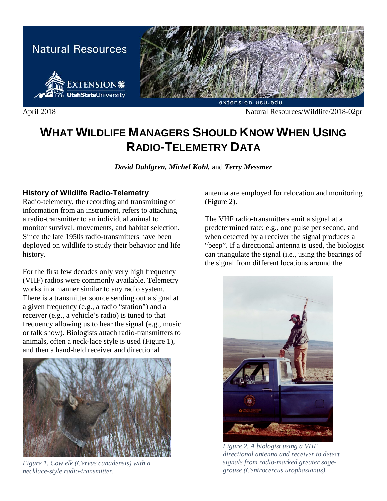

April 2018 Natural Resources/Wildlife/2018-02pr

# **WHAT WILDLIFE MANAGERS SHOULD KNOW WHEN USING RADIO-TELEMETRY DATA**

*David Dahlgren, Michel Kohl,* and *Terry Messmer*

## **History of Wildlife Radio-Telemetry**

Radio-telemetry, the recording and transmitting of information from an instrument, refers to attaching a radio-transmitter to an individual animal to monitor survival, movements, and habitat selection. Since the late 1950s radio-transmitters have been deployed on wildlife to study their behavior and life history.

For the first few decades only very high frequency (VHF) radios were commonly available. Telemetry works in a manner similar to any radio system. There is a transmitter source sending out a signal at a given frequency (e.g., a radio "station") and a receiver (e.g., a vehicle's radio) is tuned to that frequency allowing us to hear the signal (e.g., music or talk show). Biologists attach radio-transmitters to animals, often a neck-lace style is used (Figure 1), and then a hand-held receiver and directional



*Figure 1. Cow elk (Cervus canadensis) with a necklace-style radio-transmitter.*

antenna are employed for relocation and monitoring (Figure 2).

The VHF radio-transmitters emit a signal at a predetermined rate; e.g., one pulse per second, and when detected by a receiver the signal produces a "beep". If a directional antenna is used, the biologist can triangulate the signal (i.e., using the bearings of the signal from different locations around the



*Figure 2. A biologist using a VHF directional antenna and receiver to detect signals from radio-marked greater sagegrouse (Centrocercus urophasianus).*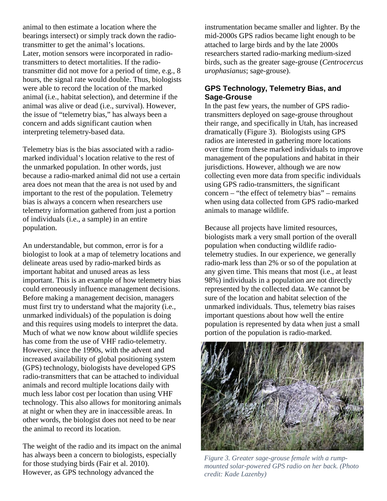animal to then estimate a location where the bearings intersect) or simply track down the radiotransmitter to get the animal's locations. Later, motion sensors were incorporated in radiotransmitters to detect mortalities. If the radiotransmitter did not move for a period of time, e.g., 8 hours, the signal rate would double. Thus, biologists were able to record the location of the marked animal (i.e., habitat selection), and determine if the animal was alive or dead (i.e., survival). However, the issue of "telemetry bias," has always been a concern and adds significant caution when interpreting telemetry-based data.

Telemetry bias is the bias associated with a radiomarked individual's location relative to the rest of the unmarked population. In other words, just because a radio-marked animal did not use a certain area does not mean that the area is not used by and important to the rest of the population. Telemetry bias is always a concern when researchers use telemetry information gathered from just a portion of individuals (i.e., a sample) in an entire population.

An understandable, but common, error is for a biologist to look at a map of telemetry locations and delineate areas used by radio-marked birds as important habitat and unused areas as less important. This is an example of how telemetry bias could erroneously influence management decisions. Before making a management decision, managers must first try to understand what the majority (i.e., unmarked individuals) of the population is doing and this requires using models to interpret the data. Much of what we now know about wildlife species has come from the use of VHF radio-telemetry. However, since the 1990s, with the advent and increased availability of global positioning system (GPS) technology, biologists have developed GPS radio-transmitters that can be attached to individual animals and record multiple locations daily with much less labor cost per location than using VHF technology. This also allows for monitoring animals at night or when they are in inaccessible areas. In other words, the biologist does not need to be near the animal to record its location.

The weight of the radio and its impact on the animal has always been a concern to biologists, especially for those studying birds (Fair et al. 2010). However, as GPS technology advanced the

instrumentation became smaller and lighter. By the mid-2000s GPS radios became light enough to be attached to large birds and by the late 2000s researchers started radio-marking medium-sized birds, such as the greater sage-grouse (*Centrocercus urophasianus*; sage-grouse).

### **GPS Technology, Telemetry Bias, and Sage-Grouse**

In the past few years, the number of GPS radiotransmitters deployed on sage-grouse throughout their range, and specifically in Utah, has increased dramatically (Figure 3). Biologists using GPS radios are interested in gathering more locations over time from these marked individuals to improve management of the populations and habitat in their jurisdictions. However, although we are now collecting even more data from specific individuals using GPS radio-transmitters, the significant concern – "the effect of telemetry bias" – remains when using data collected from GPS radio-marked animals to manage wildlife.

Because all projects have limited resources, biologists mark a very small portion of the overall population when conducting wildlife radiotelemetry studies. In our experience, we generally radio-mark less than 2% or so of the population at any given time. This means that most (i.e., at least 98%) individuals in a population are not directly represented by the collected data. We cannot be sure of the location and habitat selection of the unmarked individuals. Thus, telemetry bias raises important questions about how well the entire population is represented by data when just a small portion of the population is radio-marked.



*Figure 3. Greater sage-grouse female with a rumpmounted solar-powered GPS radio on her back. (Photo credit: Kade Lazenby)*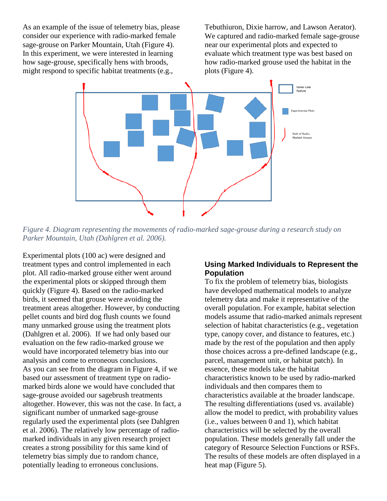As an example of the issue of telemetry bias, please consider our experience with radio-marked female sage-grouse on Parker Mountain, Utah (Figure 4). In this experiment, we were interested in learning how sage-grouse, specifically hens with broods, might respond to specific habitat treatments (e.g.,

Tebuthiuron, Dixie harrow, and Lawson Aerator). We captured and radio-marked female sage-grouse near our experimental plots and expected to evaluate which treatment type was best based on how radio-marked grouse used the habitat in the plots (Figure 4).



*Figure 4. Diagram representing the movements of radio-marked sage-grouse during a research study on Parker Mountain, Utah (Dahlgren et al. 2006).*

Experimental plots (100 ac) were designed and treatment types and control implemented in each plot. All radio-marked grouse either went around the experimental plots or skipped through them quickly (Figure 4). Based on the radio-marked birds, it seemed that grouse were avoiding the treatment areas altogether. However, by conducting pellet counts and bird dog flush counts we found many unmarked grouse using the treatment plots (Dahlgren et al. 2006). If we had only based our evaluation on the few radio-marked grouse we would have incorporated telemetry bias into our analysis and come to erroneous conclusions. As you can see from the diagram in Figure 4, if we based our assessment of treatment type on radiomarked birds alone we would have concluded that sage-grouse avoided our sagebrush treatments altogether. However, this was not the case. In fact, a significant number of unmarked sage-grouse regularly used the experimental plots (see Dahlgren et al. 2006). The relatively low percentage of radiomarked individuals in any given research project creates a strong possibility for this same kind of telemetry bias simply due to random chance, potentially leading to erroneous conclusions.

### **Using Marked Individuals to Represent the Population**

To fix the problem of telemetry bias, biologists have developed mathematical models to analyze telemetry data and make it representative of the overall population. For example, habitat selection models assume that radio-marked animals represent selection of habitat characteristics (e.g., vegetation type, canopy cover, and distance to features, etc.) made by the rest of the population and then apply those choices across a pre-defined landscape (e.g., parcel, management unit, or habitat patch). In essence, these models take the habitat characteristics known to be used by radio-marked individuals and then compares them to characteristics available at the broader landscape. The resulting differentiations (used vs. available) allow the model to predict, with probability values (i.e., values between 0 and 1), which habitat characteristics will be selected by the overall population. These models generally fall under the category of Resource Selection Functions or RSFs. The results of these models are often displayed in a heat map (Figure 5).